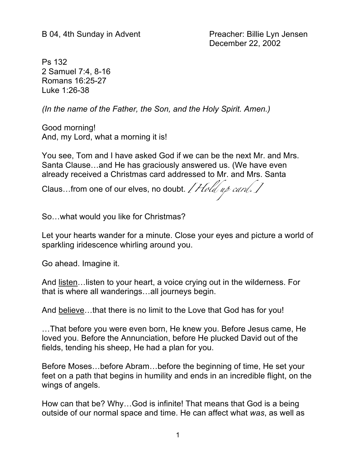B 04, 4th Sunday in Advent Preacher: Billie Lyn Jensen December 22, 2002

Ps 132 2 Samuel 7:4, 8-16 Romans 16:25-27 Luke 1:26-38

*(In the name of the Father, the Son, and the Holy Spirit. Amen.)*

Good morning! And, my Lord, what a morning it is!

You see, Tom and I have asked God if we can be the next Mr. and Mrs. Santa Clause…and He has graciously answered us. (We have even already received a Christmas card addressed to Mr. and Mrs. Santa

Claus...from one of our elves, no doubt. *[Hold up card.]* 

So…what would you like for Christmas?

Let your hearts wander for a minute. Close your eyes and picture a world of sparkling iridescence whirling around you.

Go ahead. Imagine it.

And listen…listen to your heart, a voice crying out in the wilderness. For that is where all wanderings…all journeys begin.

And believe…that there is no limit to the Love that God has for you!

…That before you were even born, He knew you. Before Jesus came, He loved you. Before the Annunciation, before He plucked David out of the fields, tending his sheep, He had a plan for you.

Before Moses…before Abram…before the beginning of time, He set your feet on a path that begins in humility and ends in an incredible flight, on the wings of angels.

How can that be? Why…God is infinite! That means that God is a being outside of our normal space and time. He can affect what *was*, as well as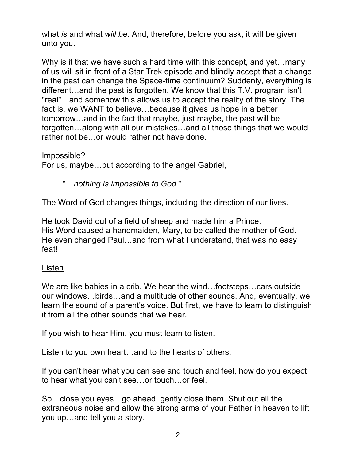what *is* and what *will be*. And, therefore, before you ask, it will be given unto you.

Why is it that we have such a hard time with this concept, and yet…many of us will sit in front of a Star Trek episode and blindly accept that a change in the past can change the Space-time continuum? Suddenly, everything is different…and the past is forgotten. We know that this T.V. program isn't "real"…and somehow this allows us to accept the reality of the story. The fact is, we WANT to believe…because it gives us hope in a better tomorrow…and in the fact that maybe, just maybe, the past will be forgotten…along with all our mistakes…and all those things that we would rather not be…or would rather not have done.

Impossible? For us, maybe…but according to the angel Gabriel,

"*…nothing is impossible to God*."

The Word of God changes things, including the direction of our lives.

He took David out of a field of sheep and made him a Prince. His Word caused a handmaiden, Mary, to be called the mother of God. He even changed Paul…and from what I understand, that was no easy feat!

Listen…

We are like babies in a crib. We hear the wind…footsteps…cars outside our windows…birds…and a multitude of other sounds. And, eventually, we learn the sound of a parent's voice. But first, we have to learn to distinguish it from all the other sounds that we hear.

If you wish to hear Him, you must learn to listen.

Listen to you own heart…and to the hearts of others.

If you can't hear what you can see and touch and feel, how do you expect to hear what you can't see…or touch…or feel.

So…close you eyes…go ahead, gently close them. Shut out all the extraneous noise and allow the strong arms of your Father in heaven to lift you up…and tell you a story.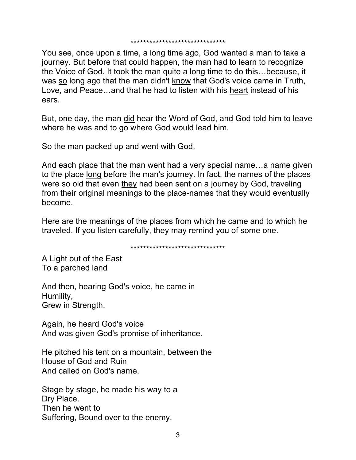You see, once upon a time, a long time ago, God wanted a man to take a journey. But before that could happen, the man had to learn to recognize the Voice of God. It took the man quite a long time to do this…because, it was so long ago that the man didn't know that God's voice came in Truth, Love, and Peace…and that he had to listen with his heart instead of his ears.

But, one day, the man did hear the Word of God, and God told him to leave where he was and to go where God would lead him.

So the man packed up and went with God.

And each place that the man went had a very special name…a name given to the place long before the man's journey. In fact, the names of the places were so old that even they had been sent on a journey by God, traveling from their original meanings to the place-names that they would eventually become.

Here are the meanings of the places from which he came and to which he traveled. If you listen carefully, they may remind you of some one.

\*\*\*\*\*\*\*\*\*\*\*\*\*\*\*\*\*\*\*\*\*\*\*\*\*\*\*\*\*\*

A Light out of the East To a parched land

And then, hearing God's voice, he came in Humility, Grew in Strength.

Again, he heard God's voice And was given God's promise of inheritance.

He pitched his tent on a mountain, between the House of God and Ruin And called on God's name.

Stage by stage, he made his way to a Dry Place. Then he went to Suffering, Bound over to the enemy,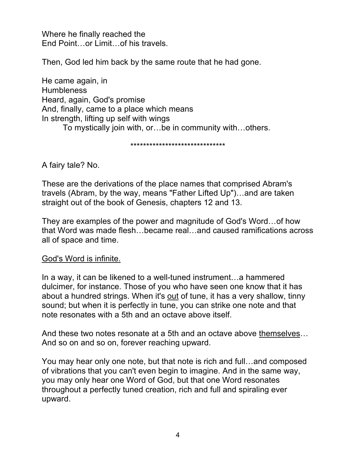Where he finally reached the End Point…or Limit…of his travels.

Then, God led him back by the same route that he had gone.

He came again, in **Humbleness** Heard, again, God's promise And, finally, came to a place which means In strength, lifting up self with wings

To mystically join with, or…be in community with…others.

\*\*\*\*\*\*\*\*\*\*\*\*\*\*\*\*\*\*\*\*\*\*\*\*\*\*\*\*\*\*

A fairy tale? No.

These are the derivations of the place names that comprised Abram's travels (Abram, by the way, means "Father Lifted Up")…and are taken straight out of the book of Genesis, chapters 12 and 13.

They are examples of the power and magnitude of God's Word…of how that Word was made flesh…became real…and caused ramifications across all of space and time.

God's Word is infinite.

In a way, it can be likened to a well-tuned instrument…a hammered dulcimer, for instance. Those of you who have seen one know that it has about a hundred strings. When it's out of tune, it has a very shallow, tinny sound; but when it is perfectly in tune, you can strike one note and that note resonates with a 5th and an octave above itself.

And these two notes resonate at a 5th and an octave above themselves... And so on and so on, forever reaching upward.

You may hear only one note, but that note is rich and full…and composed of vibrations that you can't even begin to imagine. And in the same way, you may only hear one Word of God, but that one Word resonates throughout a perfectly tuned creation, rich and full and spiraling ever upward.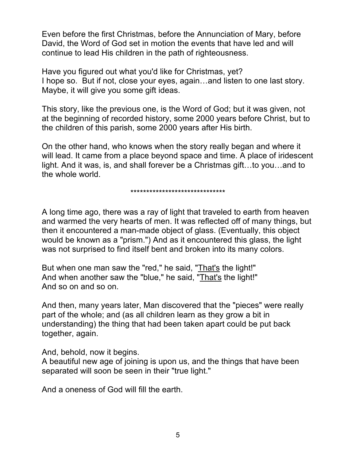Even before the first Christmas, before the Annunciation of Mary, before David, the Word of God set in motion the events that have led and will continue to lead His children in the path of righteousness.

Have you figured out what you'd like for Christmas, yet? I hope so. But if not, close your eyes, again…and listen to one last story. Maybe, it will give you some gift ideas.

This story, like the previous one, is the Word of God; but it was given, not at the beginning of recorded history, some 2000 years before Christ, but to the children of this parish, some 2000 years after His birth.

On the other hand, who knows when the story really began and where it will lead. It came from a place beyond space and time. A place of iridescent light. And it was, is, and shall forever be a Christmas gift…to you…and to the whole world.

\*\*\*\*\*\*\*\*\*\*\*\*\*\*\*\*\*\*\*\*\*\*\*\*\*\*\*\*\*\*\*\*\*\*\*\*\*\*

A long time ago, there was a ray of light that traveled to earth from heaven and warmed the very hearts of men. It was reflected off of many things, but then it encountered a man-made object of glass. (Eventually, this object would be known as a "prism.") And as it encountered this glass, the light was not surprised to find itself bent and broken into its many colors.

But when one man saw the "red," he said, "That's the light!" And when another saw the "blue," he said, "That's the light!" And so on and so on.

And then, many years later, Man discovered that the "pieces" were really part of the whole; and (as all children learn as they grow a bit in understanding) the thing that had been taken apart could be put back together, again.

And, behold, now it begins.

A beautiful new age of joining is upon us, and the things that have been separated will soon be seen in their "true light."

And a oneness of God will fill the earth.